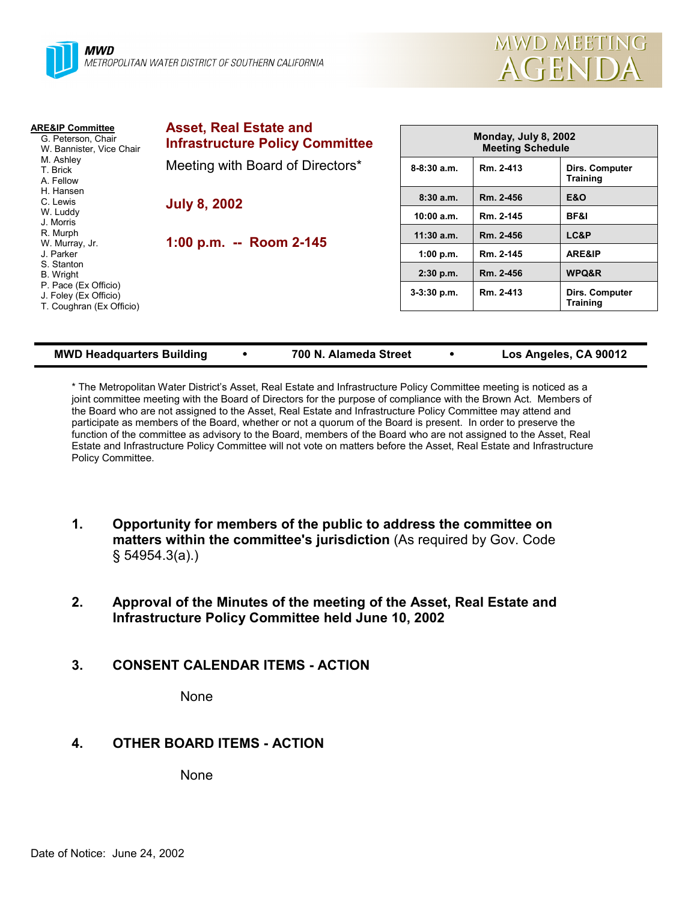

| <b>ARE&amp;IP Committee</b><br>G. Peterson, Chair<br>W. Bannister, Vice Chair<br>M. Ashley<br>T. Brick<br>A. Fellow | <b>Asset, Real Estate and</b><br><b>Infrastructure Policy Committee</b> | Monday, July 8, 2002<br><b>Meeting Schedule</b> |           |                                   |
|---------------------------------------------------------------------------------------------------------------------|-------------------------------------------------------------------------|-------------------------------------------------|-----------|-----------------------------------|
|                                                                                                                     | Meeting with Board of Directors*                                        | $8-8:30$ a.m.                                   | Rm. 2-413 | Dirs. Computer<br><b>Training</b> |
| H. Hansen<br>C. Lewis                                                                                               | <b>July 8, 2002</b><br>1:00 p.m. -- Room 2-145                          | 8:30a.m.                                        | Rm. 2-456 | <b>E&amp;O</b>                    |
| W. Luddy<br>J. Morris                                                                                               |                                                                         | 10:00 a.m.                                      | Rm. 2-145 | BF&I                              |
| R. Murph<br>W. Murray, Jr.                                                                                          |                                                                         | $11:30$ a.m.                                    | Rm. 2-456 | LC&P                              |
| J. Parker                                                                                                           |                                                                         | 1:00 p.m.                                       | Rm. 2-145 | ARE&IP                            |
| S. Stanton<br>B. Wright                                                                                             |                                                                         | $2:30$ p.m.                                     | Rm. 2-456 | WPQ&R                             |
| P. Pace (Ex Officio)<br>J. Foley (Ex Officio)<br>T. Coughran (Ex Officio)                                           |                                                                         | 3-3:30 p.m.                                     | Rm. 2-413 | Dirs. Computer<br><b>Training</b> |

#### **MWD Headquarters Building**  $\cdot$  **700 N. Alameda Street**  $\cdot$  Los Angeles, CA 90012

\* The Metropolitan Water Districtís Asset, Real Estate and Infrastructure Policy Committee meeting is noticed as a joint committee meeting with the Board of Directors for the purpose of compliance with the Brown Act. Members of the Board who are not assigned to the Asset, Real Estate and Infrastructure Policy Committee may attend and participate as members of the Board, whether or not a quorum of the Board is present. In order to preserve the function of the committee as advisory to the Board, members of the Board who are not assigned to the Asset, Real Estate and Infrastructure Policy Committee will not vote on matters before the Asset, Real Estate and Infrastructure Policy Committee.

- **1. Opportunity for members of the public to address the committee on matters within the committee's jurisdiction** (As required by Gov. Code ß 54954.3(a).)
- **2. Approval of the Minutes of the meeting of the Asset, Real Estate and Infrastructure Policy Committee held June 10, 2002**
- **3. CONSENT CALENDAR ITEMS ACTION**

None

# **4. OTHER BOARD ITEMS - ACTION**

None